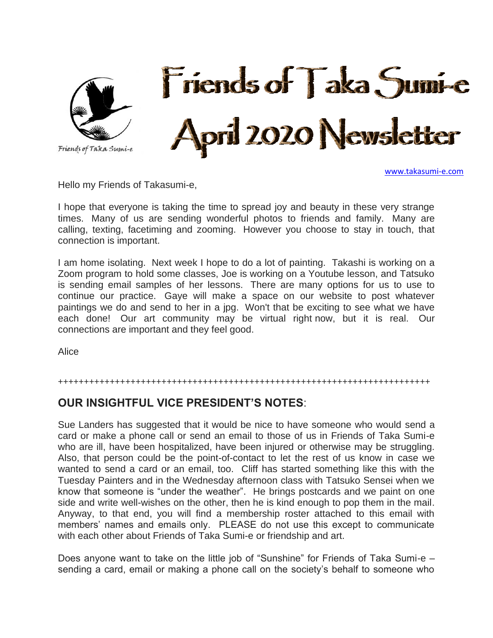

[www.takasumi-e.com](http://www.takasumi-e.com/)

Hello my Friends of Takasumi-e,

I hope that everyone is taking the time to spread joy and beauty in these very strange times. Many of us are sending wonderful photos to friends and family. Many are calling, texting, facetiming and zooming. However you choose to stay in touch, that connection is important.

I am home isolating. Next week I hope to do a lot of painting. Takashi is working on a Zoom program to hold some classes, Joe is working on a Youtube lesson, and Tatsuko is sending email samples of her lessons. There are many options for us to use to continue our practice. Gaye will make a space on our website to post whatever paintings we do and send to her in a jpg. Won't that be exciting to see what we have each done! Our art community may be virtual right now, but it is real. Our connections are important and they feel good.

Alice

#### ++++++++++++++++++++++++++++++++++++++++++++++++++++++++++++++++++++++++

### **OUR INSIGHTFUL VICE PRESIDENT'S NOTES**:

Sue Landers has suggested that it would be nice to have someone who would send a card or make a phone call or send an email to those of us in Friends of Taka Sumi-e who are ill, have been hospitalized, have been injured or otherwise may be struggling. Also, that person could be the point-of-contact to let the rest of us know in case we wanted to send a card or an email, too. Cliff has started something like this with the Tuesday Painters and in the Wednesday afternoon class with Tatsuko Sensei when we know that someone is "under the weather". He brings postcards and we paint on one side and write well-wishes on the other, then he is kind enough to pop them in the mail. Anyway, to that end, you will find a membership roster attached to this email with members' names and emails only. PLEASE do not use this except to communicate with each other about Friends of Taka Sumi-e or friendship and art.

Does anyone want to take on the little job of "Sunshine" for Friends of Taka Sumi-e – sending a card, email or making a phone call on the society's behalf to someone who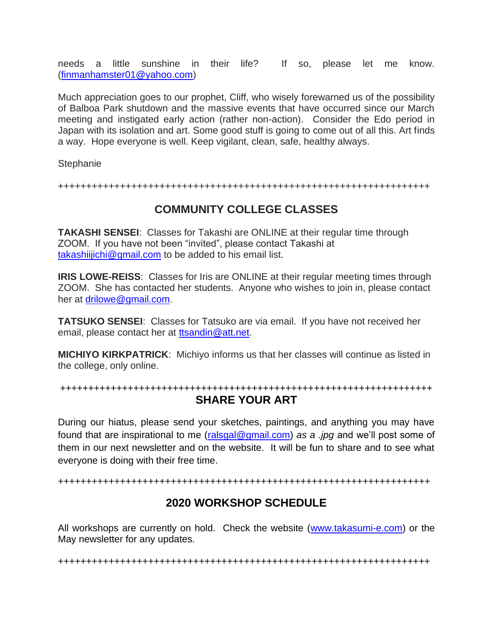needs a little sunshine in their life? If so, please let me know. [\(finmanhamster01@yahoo.com\)](mailto:finmanhamster01@yahoo.com)

Much appreciation goes to our prophet, Cliff, who wisely forewarned us of the possibility of Balboa Park shutdown and the massive events that have occurred since our March meeting and instigated early action (rather non-action). Consider the Edo period in Japan with its isolation and art. Some good stuff is going to come out of all this. Art finds a way. Hope everyone is well. Keep vigilant, clean, safe, healthy always.

**Stephanie** 

++++++++++++++++++++++++++++++++++++++++++++++++++++++++++++++++++

# **COMMUNITY COLLEGE CLASSES**

**TAKASHI SENSEI**: Classes for Takashi are ONLINE at their regular time through ZOOM. If you have not been "invited", please contact Takashi at [takashiijichi@gmail.com](mailto:takashiijichi@gmail.com) to be added to his email list.

**IRIS LOWE-REISS:** Classes for Iris are ONLINE at their regular meeting times through ZOOM. She has contacted her students. Anyone who wishes to join in, please contact her at [drilowe@gmail.com.](mailto:drilowe@gmail.com)

**TATSUKO SENSEI**: Classes for Tatsuko are via email. If you have not received her email, please contact her at [ttsandin@att.net.](mailto:ttsandin@att.net)

**MICHIYO KIRKPATRICK**: Michiyo informs us that her classes will continue as listed in the college, only online.

#### ++++++++++++++++++++++++++++++++++++++++++++++++++++++++++++++++++ **SHARE YOUR ART**

During our hiatus, please send your sketches, paintings, and anything you may have found that are inspirational to me [\(ralsgal@gmail.com\)](mailto:ralsgal@gmail.com) *as a .jpg* and we'll post some of them in our next newsletter and on the website. It will be fun to share and to see what everyone is doing with their free time.

++++++++++++++++++++++++++++++++++++++++++++++++++++++++++++++++++

## **2020 WORKSHOP SCHEDULE**

All workshops are currently on hold. Check the website [\(www.takasumi-e.com\)](http://www.takasumi-e.com/) or the May newsletter for any updates.

++++++++++++++++++++++++++++++++++++++++++++++++++++++++++++++++++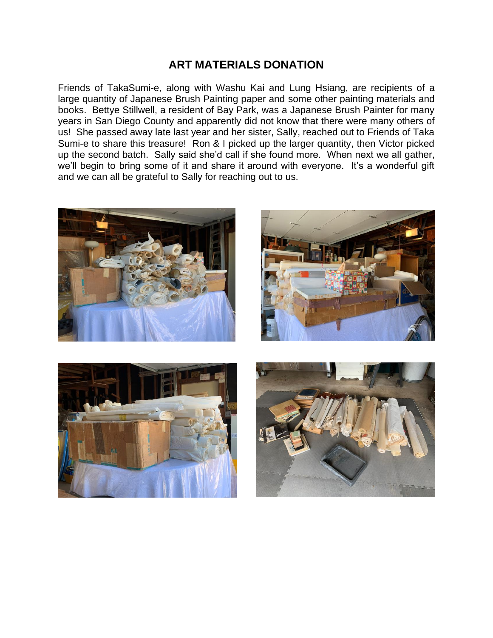## **ART MATERIALS DONATION**

Friends of TakaSumi-e, along with Washu Kai and Lung Hsiang, are recipients of a large quantity of Japanese Brush Painting paper and some other painting materials and books. Bettye Stillwell, a resident of Bay Park, was a Japanese Brush Painter for many years in San Diego County and apparently did not know that there were many others of us! She passed away late last year and her sister, Sally, reached out to Friends of Taka Sumi-e to share this treasure! Ron & I picked up the larger quantity, then Victor picked up the second batch. Sally said she'd call if she found more. When next we all gather, we'll begin to bring some of it and share it around with everyone. It's a wonderful gift and we can all be grateful to Sally for reaching out to us.







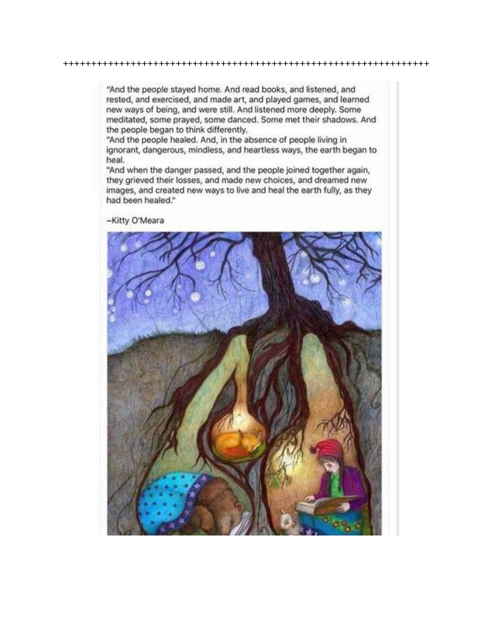"And the people stayed home. And read books, and listened, and rested, and exercised, and made art, and played games, and learned new ways of being, and were still. And listened more deeply. Some meditated, some prayed, some danced. Some met their shadows. And the people began to think differently.

"And the people healed. And, in the absence of people living in ignorant, dangerous, mindless, and heartless ways, the earth began to heal.

"And when the danger passed, and the people joined together again, they grieved their losses, and made new choices, and dreamed new images, and created new ways to live and heal the earth fully, as they had been healed."

~Kitty O'Meara

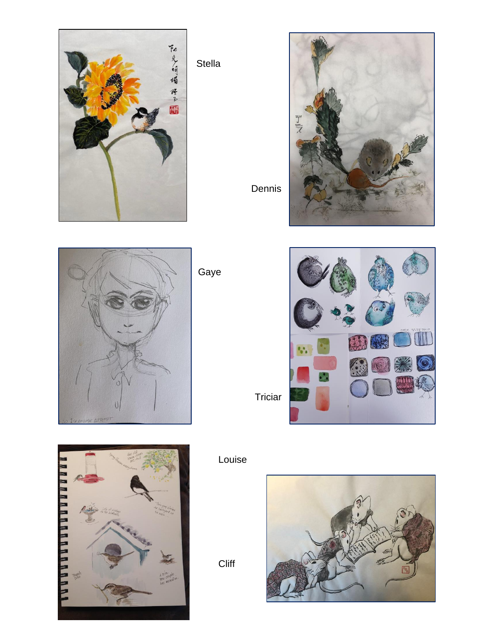

Stella

Dennis



**HHHH** 



Louise

**Cliff** 





Gaye

Triciar